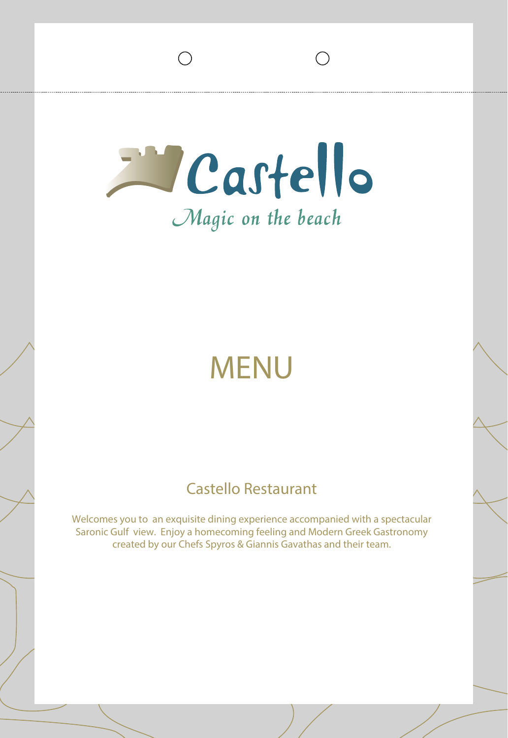Eastello Magic on the beach

# MENU

## Castello Restaurant

Welcomes you to an exquisite dining experience accompanied with a spectacular Saronic Gulf view. Enjoy a homecoming feeling and Modern Greek Gastronomy created by our Chefs Spyros & Giannis Gavathas and their team.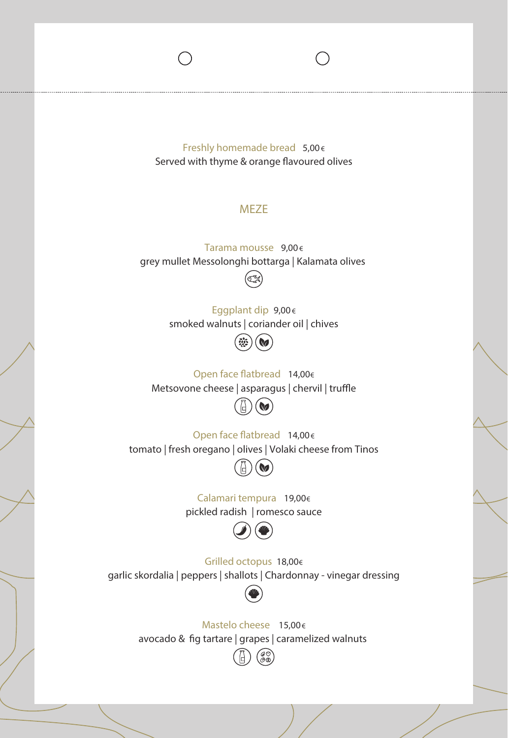Freshly homemade bread 5,00€ Served with thyme & orange flavoured olives

#### MEZE

Tarama mousse 9,00€ grey mullet Messolonghi bottarga | Kalamata olives



Eggplant dip 9,00€ smoked walnuts | coriander oil | chives



Open face flatbread 14,00€ Metsovone cheese | asparagus | chervil | truffle



Open face flatbread  $14,00 \in$ tomato | fresh oregano | olives | Volaki cheese from Tinos



pickled radish | romesco sauce Calamari tempura 19,00€



Grilled octopus 18,00€ garlic skordalia | peppers | shallots | Chardonnay - vinegar dressing



Mastelo cheese 15,00€ avocado & fig tartare | grapes | caramelized walnuts

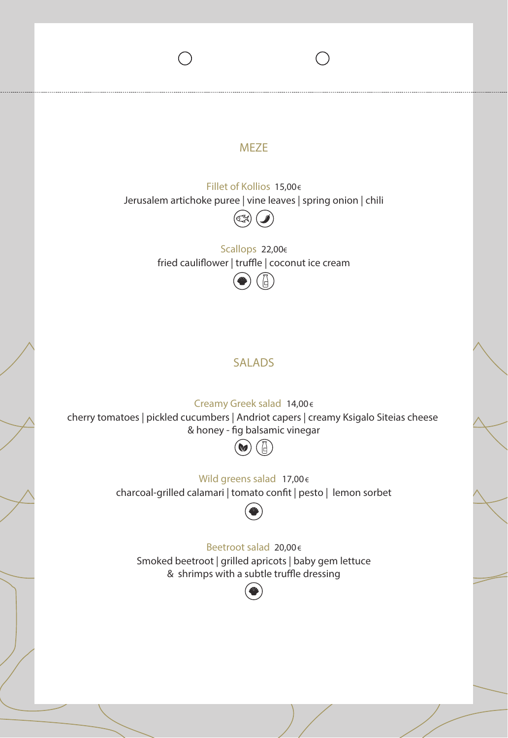#### **MEZE**

Fillet of Kollios 15,00€ Jerusalem artichoke puree | vine leaves | spring onion | chili



Scallops 22,00€ fried cauliflower | truffle | coconut ice cream

#### SALADS

#### Creamy Greek salad 14,00€

cherry tomatoes | pickled cucumbers | Andriot capers | creamy Ksigalo Siteias cheese & honey - fig balsamic vinegar

#### $\omega$  $\Box$

#### Wild greens salad 17,00€

charcoal-grilled calamari | tomato confit | pesto | lemon sorbet



#### Beetroot salad 20,00€

Smoked beetroot | grilled apricots | baby gem lettuce & shrimps with a subtle truffle dressing

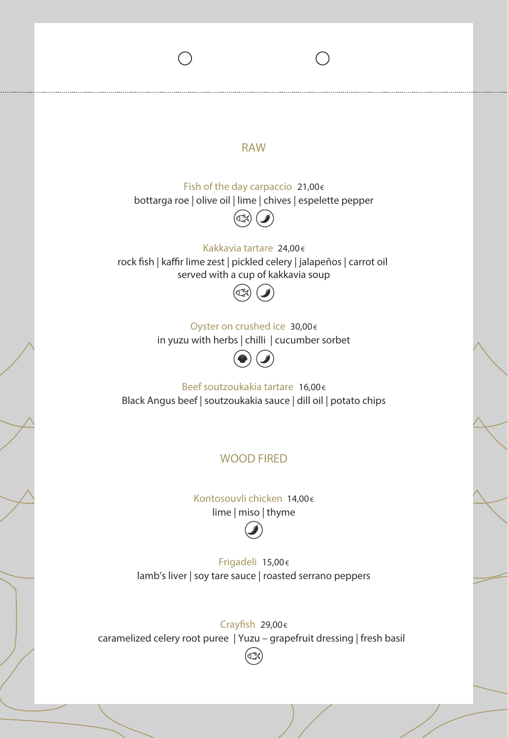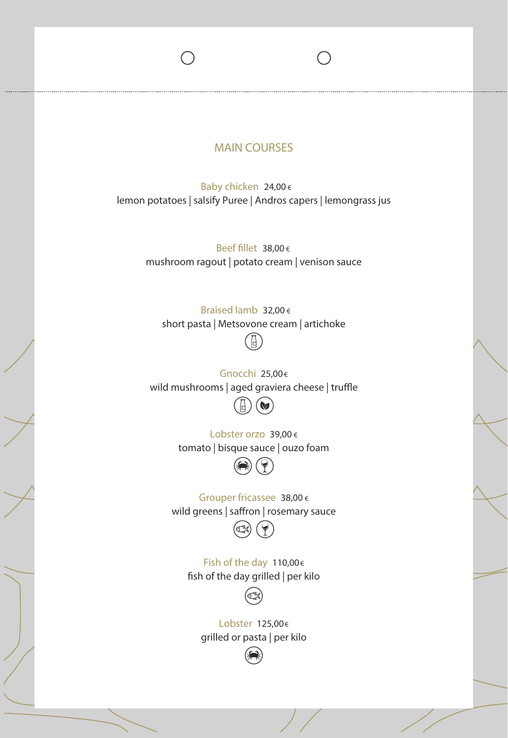#### MAIN COURSES

Baby chicken 24,00 € lemon potatoes | salsify Puree | Andros capers | lemongrass jus

> Beef fillet  $38,00 \in$ mushroom ragout | potato cream | venison sauce

Braised lamb 32,00 € short pasta | Metsovone cream | artichoke

wild mushrooms  $|$  aged graviera cheese  $|$  truffle Gnocchi 25,00€

 $\mathbf{\left(\mathbf{\boldsymbol{\omega}}\right)}$ 

Lobster orzo 39,00 € tomato | bisque sauce | ouzo foam



Grouper fricassee 38,00 € wild greens | saffron | rosemary sauce

Fish of the day 110,00€ fish of the day grilled | per kilo



Lobster 125,00€ grilled or pasta | per kilo

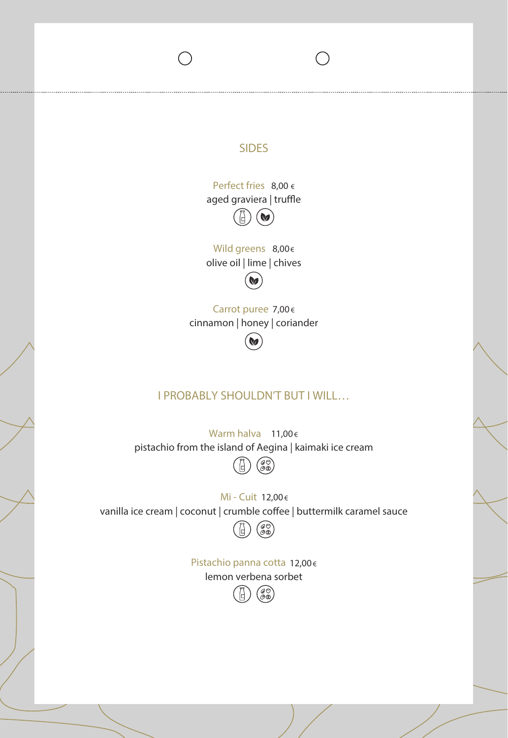## SIDES Perfect fries 8,00 € aged graviera | truffle M Wild greens 8,00€ olive oil | lime | chives **No** Carrot puree 7,00€ cinnamon | honey | coriander **V** I PROBABLY SHOULDN'T BUT I WILL… Warm halva 11,00€ pistachio from the island of Aegina | kaimaki ice cream  $\begin{pmatrix} \mathscr{D} \\ \mathscr{D} \mathscr{D} \end{pmatrix}$ Mi - Cuit 12,00€ vanilla ice cream | coconut | crumble coffee | buttermilk caramel sauce (@)<br>(@10) Pistachio panna cotta 12,00€ lemon verbena sorbet